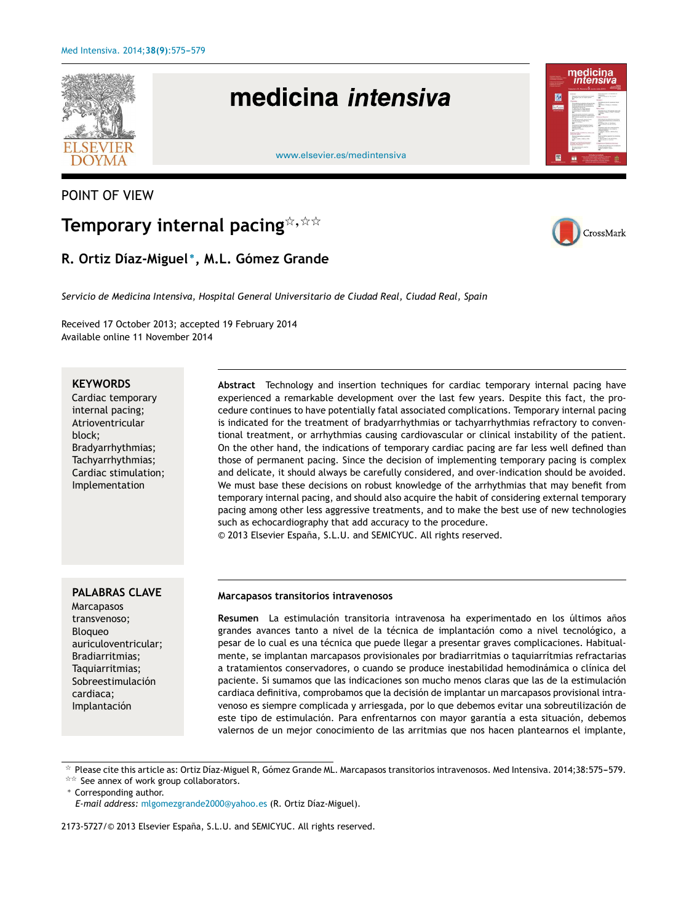

# POINT OF VIEW

# $\mathsf{Temporary\ interval\ packing^{\nmid \forall}, \nmid \forall \forall \forall \exists$



# **R. Ortiz Díaz-Miguel** <sup>∗</sup> **, M.L. Gómez Grande**

*Servicio de Medicina Intensiva, Hospital General Universitario de Ciudad Real, Ciudad Real, Spain*

Received 17 October 2013; accepted 19 February 2014 Available online 11 November 2014

# **KEYWORDS**

Cardiac temporary internal pacing; Atrioventricular block; Bradyarrhythmias; Tachyarrhythmias; Cardiac stimulation; Implementation

**Abstract** Technology and insertion techniques for cardiac temporary internal pacing have experienced a remarkable development over the last few years. Despite this fact, the procedure continues to have potentially fatal associated complications. Temporary internal pacing is indicated for the treatment of bradyarrhythmias or tachyarrhythmias refractory to conventional treatment, or arrhythmias causing cardiovascular or clinical instability of the patient. On the other hand, the indications of temporary cardiac pacing are far less well defined than those of permanent pacing. Since the decision of implementing temporary pacing is complex and delicate, it should always be carefully considered, and over-indication should be avoided. We must base these decisions on robust knowledge of the arrhythmias that may benefit from temporary internal pacing, and should also acquire the habit of considering external temporary pacing among other less aggressive treatments, and to make the best use of new technologies such as echocardiography that add accuracy to the procedure. © 2013 Elsevier España, S.L.U. and SEMICYUC. All rights reserved.

# **PALABRAS CLAVE**

Marcapasos transvenoso; Bloqueo auriculoventricular; Bradiarritmias; Taquiarritmias; Sobreestimulación cardiaca; Implantación

#### **Marcapasos transitorios intravenosos**

**Resumen** La estimulación transitoria intravenosa ha experimentado en los últimos años grandes avances tanto a nivel de la técnica de implantación como a nivel tecnológico, a pesar de lo cual es una técnica que puede llegar a presentar graves complicaciones. Habitualmente, se implantan marcapasos provisionales por bradiarritmias o taquiarrítmias refractarias a tratamientos conservadores, o cuando se produce inestabilidad hemodinámica o clínica del paciente. Si sumamos que las indicaciones son mucho menos claras que las de la estimulación cardiaca definitiva, comprobamos que la decisión de implantar un marcapasos provisional intravenoso es siempre complicada y arriesgada, por lo que debemos evitar una sobreutilización de este tipo de estimulación. Para enfrentarnos con mayor garantía a esta situación, debemos valernos de un mejor conocimiento de las arritmias que nos hacen plantearnos el implante,

 $^\star$  Please cite this article as: Ortiz Díaz-Miguel R, Gómez Grande ML. Marcapasos transitorios intravenosos. Med Intensiva. 2014;38:575–579.

<sup>∗</sup> Corresponding author.

2173-5727/© 2013 Elsevier España, S.L.U. and SEMICYUC. All rights reserved.

<sup>\*\*</sup> See annex of work group collaborators.

*E-mail address:* [mlgomezgrande2000@yahoo.es](mailto:mlgomezgrande2000@yahoo.es) (R. Ortiz Díaz-Miguel).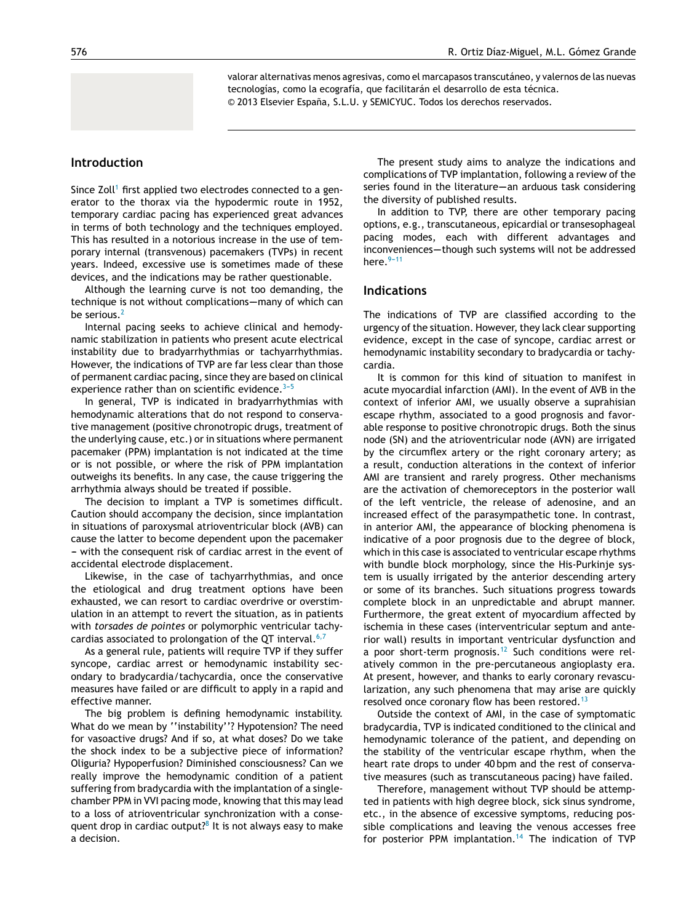valorar alternativas menos agresivas, como el marcapasos transcutáneo, y valernos de las nuevas tecnologías, como la ecografía, que facilitarán el desarrollo de esta técnica. © 2013 Elsevier España, S.L.U. y SEMICYUC. Todos los derechos reservados.

# **Introduction**

Since Zoll<sup>[1](#page-4-0)</sup> first applied two electrodes connected to a generator to the thorax via the hypodermic route in 1952, temporary cardiac pacing has experienced great advances in terms of both technology and the techniques employed. This has resulted in a notorious increase in the use of temporary internal (transvenous) pacemakers (TVPs) in recent years. Indeed, excessive use is sometimes made of these devices, and the indications may be rather questionable.

Although the learning curve is not too demanding, the technique is not without complications-many of which can be serious.[2](#page-4-0)

Internal pacing seeks to achieve clinical and hemodynamic stabilization in patients who present acute electrical instability due to bradyarrhythmias or tachyarrhythmias. However, the indications of TVP are far less clear than those of permanent cardiac pacing, since they are based on clinical experience rather than on scientific evidence.  $3-5$ 

In general, TVP is indicated in bradyarrhythmias with hemodynamic alterations that do not respond to conservative management (positive chronotropic drugs, treatment of the underlying cause, etc.) or in situations where permanent pacemaker (PPM) implantation is not indicated at the time or is not possible, or where the risk of PPM implantation outweighs its benefits. In any case, the cause triggering the arrhythmia always should be treated if possible.

The decision to implant a TVP is sometimes difficult. Caution should accompany the decision, since implantation in situations of paroxysmal atrioventricular block (AVB) can cause the latter to become dependent upon the pacemaker - with the consequent risk of cardiac arrest in the event of accidental electrode displacement.

Likewise, in the case of tachyarrhythmias, and once the etiological and drug treatment options have been exhausted, we can resort to cardiac overdrive or overstimulation in an attempt to revert the situation, as in patients with *torsades de pointes* or polymorphic ventricular tachy-cardias associated to prolongation of the QT interval.<sup>[6,7](#page-4-0)</sup>

As a general rule, patients will require TVP if they suffer syncope, cardiac arrest or hemodynamic instability secondary to bradycardia/tachycardia, once the conservative measures have failed or are difficult to apply in a rapid and effective manner.

The big problem is defining hemodynamic instability. What do we mean by ''instability''? Hypotension? The need for vasoactive drugs? And if so, at what doses? Do we take the shock index to be a subjective piece of information? Oliguria? Hypoperfusion? Diminished consciousness? Can we really improve the hemodynamic condition of a patient suffering from bradycardia with the implantation of a singlechamber PPM in VVI pacing mode, knowing that this may lead to a loss of atrioventricular synchronization with a conse-quent drop in cardiac output?<sup>8</sup> [It](#page-4-0) is not always easy to make a decision.

The present study aims to analyze the indications and complications of TVP implantation, following a review of the series found in the literature-an arduous task considering the diversity of published results.

In addition to TVP, there are other temporary pacing options, e.g., transcutaneous, epicardial or transesophageal pacing modes, each with different advantages and inconveniences-though such systems will not be addressed here. $9-11$ 

# **Indications**

The indications of TVP are classified according to the urgency of the situation. However, they lack clear supporting evidence, except in the case of syncope, cardiac arrest or hemodynamic instability secondary to bradycardia or tachycardia.

It is common for this kind of situation to manifest in acute myocardial infarction (AMI). In the event of AVB in the context of inferior AMI, we usually observe a suprahisian escape rhythm, associated to a good prognosis and favorable response to positive chronotropic drugs. Both the sinus node (SN) and the atrioventricular node (AVN) are irrigated by the circumflex artery or the right coronary artery; as a result, conduction alterations in the context of inferior AMI are transient and rarely progress. Other mechanisms are the activation of chemoreceptors in the posterior wall of the left ventricle, the release of adenosine, and an increased effect of the parasympathetic tone. In contrast, in anterior AMI, the appearance of blocking phenomena is indicative of a poor prognosis due to the degree of block, which in this case is associated to ventricular escape rhythms with bundle block morphology, since the His-Purkinje system is usually irrigated by the anterior descending artery or some of its branches. Such situations progress towards complete block in an unpredictable and abrupt manner. Furthermore, the great extent of myocardium affected by ischemia in these cases (interventricular septum and anterior wall) results in important ventricular dysfunction and a poor short-term prognosis.<sup>[12](#page-4-0)</sup> Such conditions were relatively common in the pre-percutaneous angioplasty era. At present, however, and thanks to early coronary revascularization, any such phenomena that may arise are quickly resolved once coronary flow has been restored.<sup>[13](#page-4-0)</sup>

Outside the context of AMI, in the case of symptomatic bradycardia, TVP is indicated conditioned to the clinical and hemodynamic tolerance of the patient, and depending on the stability of the ventricular escape rhythm, when the heart rate drops to under 40 bpm and the rest of conservative measures (such as transcutaneous pacing) have failed.

Therefore, management without TVP should be attempted in patients with high degree block, sick sinus syndrome, etc., in the absence of excessive symptoms, reducing possible complications and leaving the venous accesses free for posterior PPM implantation.<sup>[14](#page-4-0)</sup> The indication of TVP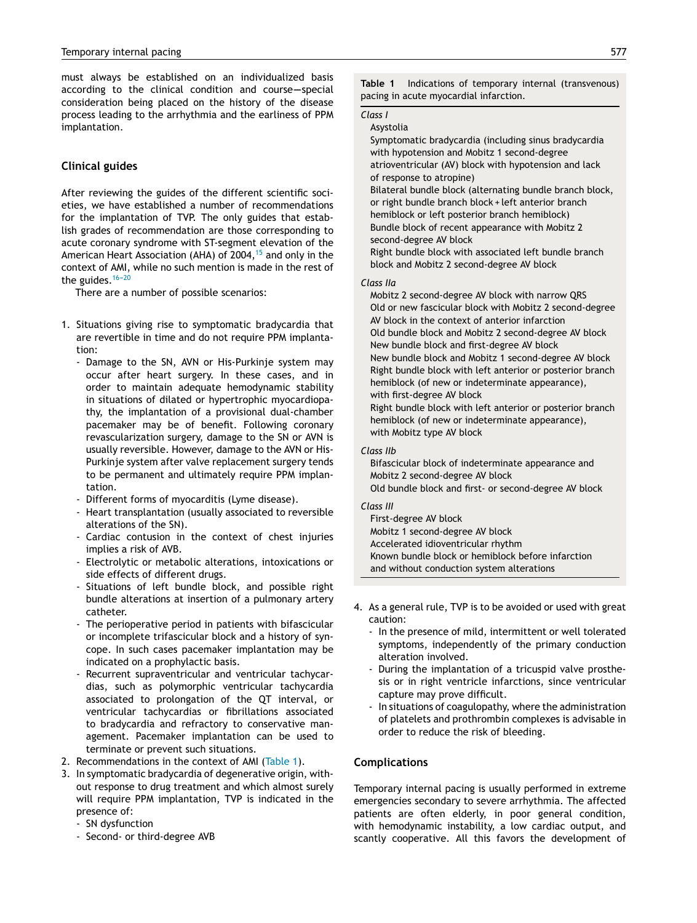must always be established on an individualized basis according to the clinical condition and course-special consideration being placed on the history of the disease process leading to the arrhythmia and the earliness of PPM implantation.

# **Clinical guides**

After reviewing the guides of the different scientific societies, we have established a number of recommendations for the implantation of TVP. The only guides that establish grades of recommendation are those corresponding to acute coronary syndrome with ST-segment elevation of the American Heart Association (AHA) of 2004,  $15$  and only in the context of AMI, while no such mention is made in the rest of the guides.  $16-20$ 

There are a number of possible scenarios:

- 1. Situations giving rise to symptomatic bradycardia that are revertible in time and do not require PPM implantation:
	- Damage to the SN, AVN or His-Purkinje system may occur after heart surgery. In these cases, and in order to maintain adequate hemodynamic stability in situations of dilated or hypertrophic myocardiopathy, the implantation of a provisional dual-chamber pacemaker may be of benefit. Following coronary revascularization surgery, damage to the SN or AVN is usually reversible. However, damage to the AVN or His-Purkinje system after valve replacement surgery tends to be permanent and ultimately require PPM implantation.
	- Different forms of myocarditis (Lyme disease).
	- Heart transplantation (usually associated to reversible alterations of the SN).
	- Cardiac contusion in the context of chest injuries implies a risk of AVB.
	- Electrolytic or metabolic alterations, intoxications or side effects of different drugs.
	- Situations of left bundle block, and possible right bundle alterations at insertion of a pulmonary artery catheter.
	- The perioperative period in patients with bifascicular or incomplete trifascicular block and a history of syncope. In such cases pacemaker implantation may be indicated on a prophylactic basis.
	- Recurrent supraventricular and ventricular tachycardias, such as polymorphic ventricular tachycardia associated to prolongation of the QT interval, or ventricular tachycardias or fibrillations associated to bradycardia and refractory to conservative management. Pacemaker implantation can be used to terminate or prevent such situations.
- 2. Recommendations in the context of AMI (Table 1).
- 3. In symptomatic bradycardia of degenerative origin, without response to drug treatment and which almost surely will require PPM implantation, TVP is indicated in the presence of:
	- SN dysfunction
	- Second- or third-degree AVB

**Table 1** Indications of temporary internal (transvenous) pacing in acute myocardial infarction.

#### *Class I*

#### Asystolia

Symptomatic bradycardia (including sinus bradycardia with hypotension and Mobitz 1 second-degree atrioventricular (AV) block with hypotension and lack of response to atropine) Bilateral bundle block (alternating bundle branch block, or right bundle branch block + left anterior branch hemiblock or left posterior branch hemiblock)

Bundle block of recent appearance with Mobitz 2 second-degree AV block

Right bundle block with associated left bundle branch block and Mobitz 2 second-degree AV block

#### *Class IIa*

Mobitz 2 second-degree AV block with narrow QRS Old or new fascicular block with Mobitz 2 second-degree AV block in the context of anterior infarction Old bundle block and Mobitz 2 second-degree AV block New bundle block and first-degree AV block New bundle block and Mobitz 1 second-degree AV block Right bundle block with left anterior or posterior branch hemiblock (of new or indeterminate appearance), with first-degree AV block Right bundle block with left anterior or posterior branch

hemiblock (of new or indeterminate appearance), with Mobitz type AV block

## *Class IIb*

Bifascicular block of indeterminate appearance and Mobitz 2 second-degree AV block Old bundle block and first- or second-degree AV block

#### *Class III*

First-degree AV block Mobitz 1 second-degree AV block Accelerated idioventricular rhythm Known bundle block or hemiblock before infarction and without conduction system alterations

- 4. As a general rule, TVP is to be avoided or used with great caution:
	- In the presence of mild, intermittent or well tolerated symptoms, independently of the primary conduction alteration involved.
	- During the implantation of a tricuspid valve prosthesis or in right ventricle infarctions, since ventricular capture may prove difficult.
	- In situations of coagulopathy, where the administration of platelets and prothrombin complexes is advisable in order to reduce the risk of bleeding.

# **Complications**

Temporary internal pacing is usually performed in extreme emergencies secondary to severe arrhythmia. The affected patients are often elderly, in poor general condition, with hemodynamic instability, a low cardiac output, and scantly cooperative. All this favors the development of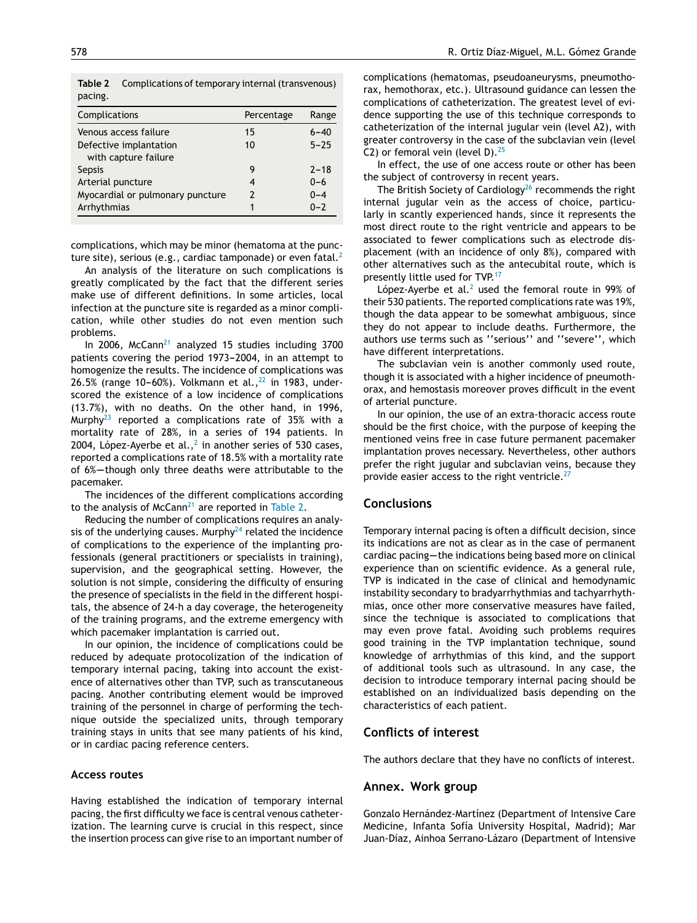|         | <b>Table 2</b> Complications of temporary internal (transvenous) |
|---------|------------------------------------------------------------------|
| pacing. |                                                                  |

| Complications                    | Percentage               | Range    |
|----------------------------------|--------------------------|----------|
| Venous access failure            | 15                       | $6 - 40$ |
| Defective implantation           | 10                       | $5 - 25$ |
| with capture failure             |                          |          |
| Sepsis                           | 9                        | $7 - 18$ |
| Arterial puncture                | 4                        | $0 - 6$  |
| Myocardial or pulmonary puncture | $\overline{\phantom{a}}$ | $0 - 4$  |
| Arrhythmias                      | 1                        | $0 - 2$  |

complications, which may be minor (hematoma at the puncture site), serious (e.g., cardiac tamponade) or even fatal. $^2$  $^2$ 

An analysis of the literature on such complications is greatly complicated by the fact that the different series make use of different definitions. In some articles, local infection at the puncture site is regarded as a minor complication, while other studies do not even mention such problems.

In 2006, McCann<sup>[21](#page-4-0)</sup> analyzed 15 studies including 3700 patients covering the period 1973-2004, in an attempt to homogenize the results. The incidence of complications was 26.5% (range 10-60%). Volkmann et al., <sup>[22](#page-4-0)</sup> in 1983, underscored the existence of a low incidence of complications (13.7%), with no deaths. On the other hand, in 1996, Murphy $^{23}$  $^{23}$  $^{23}$  reported a complications rate of 35% with a mortality rate of 28%, in a series of 194 patients. In [2](#page-4-0)004, López-Ayerbe et al.,<sup>2</sup> in another series of 530 cases, reported a complications rate of 18.5% with a mortality rate of 6%-though only three deaths were attributable to the pacemaker.

The incidences of the different complications according to the analysis of McCann<sup>[21](#page-4-0)</sup> are reported in Table 2.

Reducing the number of complications requires an analy-sis of the underlying causes. Murphy<sup>[24](#page-4-0)</sup> related the incidence of complications to the experience of the implanting professionals (general practitioners or specialists in training), supervision, and the geographical setting. However, the solution is not simple, considering the difficulty of ensuring the presence of specialists in the field in the different hospitals, the absence of 24-h a day coverage, the heterogeneity of the training programs, and the extreme emergency with which pacemaker implantation is carried out.

In our opinion, the incidence of complications could be reduced by adequate protocolization of the indication of temporary internal pacing, taking into account the existence of alternatives other than TVP, such as transcutaneous pacing. Another contributing element would be improved training of the personnel in charge of performing the technique outside the specialized units, through temporary training stays in units that see many patients of his kind, or in cardiac pacing reference centers.

#### **Access routes**

Having established the indication of temporary internal pacing, the first difficulty we face is central venous catheterization. The learning curve is crucial in this respect, since the insertion process can give rise to an important number of complications (hematomas, pseudoaneurysms, pneumothorax, hemothorax, etc.). Ultrasound guidance can lessen the complications of catheterization. The greatest level of evidence supporting the use of this technique corresponds to catheterization of the internal jugular vein (level A2), with greater controversy in the case of the subclavian vein (level C2) or femoral vein (level D). $25$ 

In effect, the use of one access route or other has been the subject of controversy in recent years.

The British Society of Cardiology<sup>[26](#page-4-0)</sup> recommends the right internal jugular vein as the access of choice, particularly in scantly experienced hands, since it represents the most direct route to the right ventricle and appears to be associated to fewer complications such as electrode displacement (with an incidence of only 8%), compared with other alternatives such as the antecubital route, which is presently little used for TVP.<sup>[17](#page-4-0)</sup>

López-Ayerbe et al. $<sup>2</sup>$  $<sup>2</sup>$  $<sup>2</sup>$  used the femoral route in 99% of</sup> their 530 patients. The reported complications rate was 19%, though the data appear to be somewhat ambiguous, since they do not appear to include deaths. Furthermore, the authors use terms such as ''serious'' and ''severe'', which have different interpretations.

The subclavian vein is another commonly used route, though it is associated with a higher incidence of pneumothorax, and hemostasis moreover proves difficult in the event of arterial puncture.

In our opinion, the use of an extra-thoracic access route should be the first choice, with the purpose of keeping the mentioned veins free in case future permanent pacemaker implantation proves necessary. Nevertheless, other authors prefer the right jugular and subclavian veins, because they provide easier access to the right ventricle.<sup>[27](#page-4-0)</sup>

# **Conclusions**

Temporary internal pacing is often a difficult decision, since its indications are not as clear as in the case of permanent cardiac pacing-the indications being based more on clinical experience than on scientific evidence. As a general rule, TVP is indicated in the case of clinical and hemodynamic instability secondary to bradyarrhythmias and tachyarrhythmias, once other more conservative measures have failed, since the technique is associated to complications that may even prove fatal. Avoiding such problems requires good training in the TVP implantation technique, sound knowledge of arrhythmias of this kind, and the support of additional tools such as ultrasound. In any case, the decision to introduce temporary internal pacing should be established on an individualized basis depending on the characteristics of each patient.

## **Conflicts of interest**

The authors declare that they have no conflicts of interest.

#### **Annex. Work group**

Gonzalo Hernández-Martínez (Department of Intensive Care Medicine, Infanta Sofía University Hospital, Madrid); Mar Juan-Díaz, Ainhoa Serrano-Lázaro (Department of Intensive